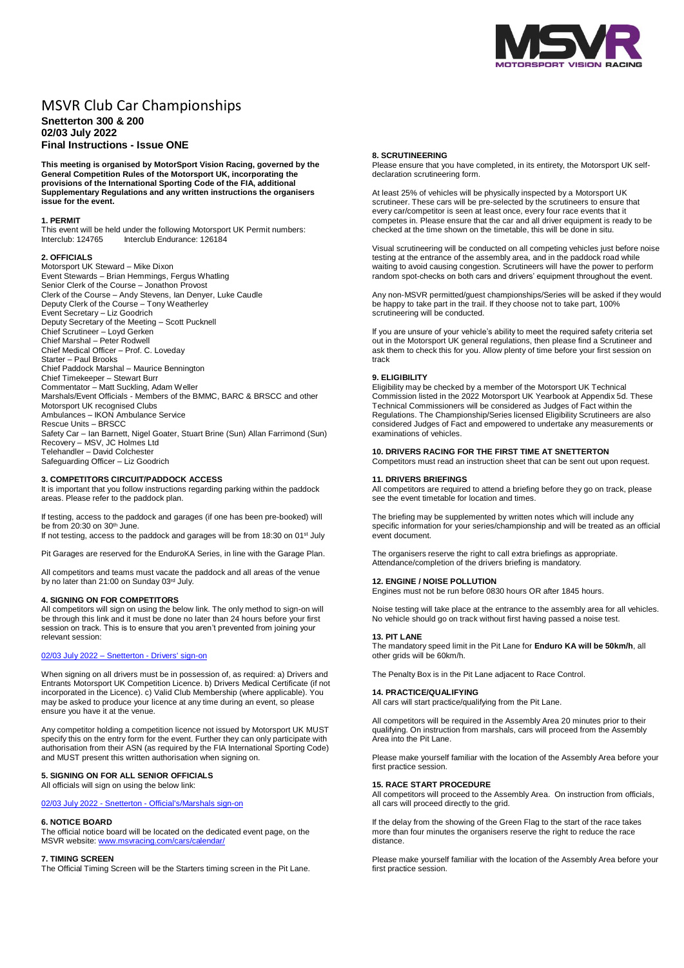

# MSVR Club Car Championships **Snetterton 300 & 200 02/03 July 2022 Final Instructions - Issue ONE**

**This meeting is organised by MotorSport Vision Racing, governed by the General Competition Rules of the Motorsport UK, incorporating the provisions of the International Sporting Code of the FIA, additional Supplementary Regulations and any written instructions the organisers issue for the event.**

## **1. PERMIT**

This event will be held under the following Motorsport UK Permit numbers:<br>Interclub: 124765 Interclub Endurance: 126184 Interclub Endurance: 126184

## **2. OFFICIALS**

Motorsport UK Steward – Mike Dixon Event Stewards – Brian Hemmings, Fergus Whatling Senior Clerk of the Course – Jonathon Provost Clerk of the Course – Andy Stevens, Ian Denyer, Luke Caudle Deputy Clerk of the Course – Tony Weatherley Event Secretary – Liz Goodrich Deputy Secretary of the Meeting – Scott Pucknell Chief Scrutineer – Loyd Gerken Chief Marshal – Peter Rodwell Chief Medical Officer – Prof. C. Loveday Starter – Paul Brooks Chief Paddock Marshal – Maurice Bennington Chief Timekeeper – Stewart Burr Commentator – Matt Suckling, Adam Weller Marshals/Event Officials - Members of the BMMC, BARC & BRSCC and other Motorsport UK recognised Clubs Ambulances – IKON Ambulance Service Rescue Units – BRSCC Safety Car – Ian Barnett, Nigel Goater, Stuart Brine (Sun) Allan Farrimond (Sun) Recovery – MSV, JC Holmes Ltd Telehandler – David Colchester Safeguarding Officer – Liz Goodrich

# **3. COMPETITORS CIRCUIT/PADDOCK ACCESS**

It is important that you follow instructions regarding parking within the paddock areas. Please refer to the paddock plan.

If testing, access to the paddock and garages (if one has been pre-booked) will be from 20:30 on 30th June. If not testing, access to the paddock and garages will be from 18:30 on 01st July

Pit Garages are reserved for the EnduroKA Series, in line with the Garage Plan.

All competitors and teams must vacate the paddock and all areas of the venue by no later than 21:00 on Sunday 03rd July.

### **4. SIGNING ON FOR COMPETITORS**

All competitors will sign on using the below link. The only method to sign-on will be through this link and it must be done no later than 24 hours before your first session on track. This is to ensure that you aren't prevented from joining your relevant session:

### 02/03 July 2022 – Snetterton - [Drivers' sign-on](https://racing.msv.com/CheckIn/5187afc2-96a8-4e2a-97fa-1806df264b8d)

When signing on all drivers must be in possession of, as required: a) Drivers and Entrants Motorsport UK Competition Licence. b) Drivers Medical Certificate (if not incorporated in the Licence). c) Valid Club Membership (where applicable). You may be asked to produce your licence at any time during an event, so please ensure you have it at the venue.

Any competitor holding a competition licence not issued by Motorsport UK MUST specify this on the entry form for the event. Further they can only participate with authorisation from their ASN (as required by the FIA International Sporting Code) and MUST present this written authorisation when signing on.

### **5. SIGNING ON FOR ALL SENIOR OFFICIALS** All officials will sign on using the below link:

02/03 July 2022 - Snetterton - [Official's/Marshals sign-on](https://racing.msv.com/CheckIn/Officals/5187afc2-96a8-4e2a-97fa-1806df264b8d)

#### **6. NOTICE BOARD**

The official notice board will be located on the dedicated event page, on the MSVR website: [www.msvracing.com/cars/calendar/](http://www.msvracing.com/cars/calendar/)

### **7. TIMING SCREEN**

The Official Timing Screen will be the Starters timing screen in the Pit Lane.

#### **8. SCRUTINEERING**

Please ensure that you have completed, in its entirety, the Motorsport UK selfdeclaration scrutineering form.

At least 25% of vehicles will be physically inspected by a Motorsport UK scrutineer. These cars will be pre-selected by the scrutineers to ensure that every car/competitor is seen at least once, every four race events that it competes in. Please ensure that the car and all driver equipment is ready to be checked at the time shown on the timetable, this will be done in situ.

Visual scrutineering will be conducted on all competing vehicles just before noise testing at the entrance of the assembly area, and in the paddock road while waiting to avoid causing congestion. Scrutineers will have the power to perform random spot-checks on both cars and drivers' equipment throughout the event.

Any non-MSVR permitted/guest championships/Series will be asked if they would be happy to take part in the trail. If they choose not to take part, 100% scrutineering will be conducted.

If you are unsure of your vehicle's ability to meet the required safety criteria set out in the Motorsport UK general regulations, then please find a Scrutineer and ask them to check this for you. Allow plenty of time before your first session on track

#### **9. ELIGIBILITY**

Eligibility may be checked by a member of the Motorsport UK Technical Commission listed in the 2022 Motorsport UK Yearbook at Appendix 5d. These Technical Commissioners will be considered as Judges of Fact within the Regulations. The Championship/Series licensed Eligibility Scrutineers are also considered Judges of Fact and empowered to undertake any measurements or examinations of vehicles.

# **10. DRIVERS RACING FOR THE FIRST TIME AT SNETTERTON**

Competitors must read an instruction sheet that can be sent out upon request.

### **11. DRIVERS BRIEFINGS**

All competitors are required to attend a briefing before they go on track, please see the event timetable for location and times.

The briefing may be supplemented by written notes which will include any specific information for your series/championship and will be treated as an official event document.

The organisers reserve the right to call extra briefings as appropriate. Attendance/completion of the drivers briefing is mandatory.

### **12. ENGINE / NOISE POLLUTION**

Engines must not be run before 0830 hours OR after 1845 hours.

Noise testing will take place at the entrance to the assembly area for all vehicles. No vehicle should go on track without first having passed a noise test.

# **13. PIT LANE**

The mandatory speed limit in the Pit Lane for **Enduro KA will be 50km/h**, all other grids will be 60km/h.

The Penalty Box is in the Pit Lane adjacent to Race Control.

#### **14. PRACTICE/QUALIFYING**

All cars will start practice/qualifying from the Pit Lane.

All competitors will be required in the Assembly Area 20 minutes prior to their qualifying. On instruction from marshals, cars will proceed from the Assembly Area into the Pit Lane.

Please make yourself familiar with the location of the Assembly Area before your first practice session.

## **15. RACE START PROCEDURE**

All competitors will proceed to the Assembly Area. On instruction from officials, all cars will proceed directly to the grid.

If the delay from the showing of the Green Flag to the start of the race takes more than four minutes the organisers reserve the right to reduce the race distance.

Please make yourself familiar with the location of the Assembly Area before your first practice session.